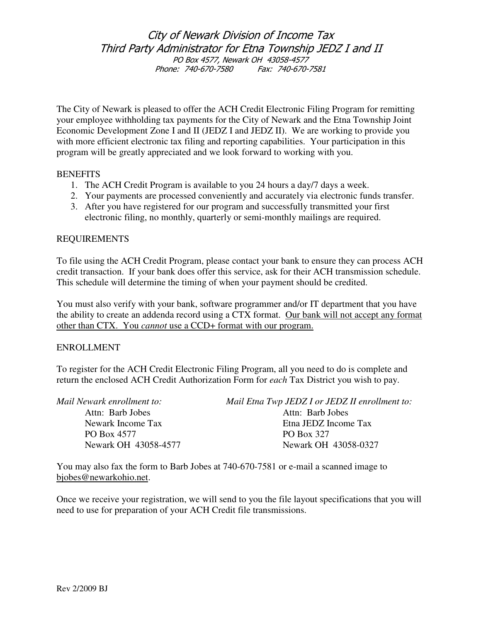# City of Newark Division of Income Tax Third Party Administrator for Etna Township JEDZ I and II PO Box 4577, Newark OH 43058-4577 Phone: 740-670-7580 Fax: 740-670-7581

The City of Newark is pleased to offer the ACH Credit Electronic Filing Program for remitting your employee withholding tax payments for the City of Newark and the Etna Township Joint Economic Development Zone I and II (JEDZ I and JEDZ II). We are working to provide you with more efficient electronic tax filing and reporting capabilities. Your participation in this program will be greatly appreciated and we look forward to working with you.

## **BENEFITS**

- 1. The ACH Credit Program is available to you 24 hours a day/7 days a week.
- 2. Your payments are processed conveniently and accurately via electronic funds transfer.
- 3. After you have registered for our program and successfully transmitted your first electronic filing, no monthly, quarterly or semi-monthly mailings are required.

## REQUIREMENTS

To file using the ACH Credit Program, please contact your bank to ensure they can process ACH credit transaction. If your bank does offer this service, ask for their ACH transmission schedule. This schedule will determine the timing of when your payment should be credited.

You must also verify with your bank, software programmer and/or IT department that you have the ability to create an addenda record using a CTX format. Our bank will not accept any format other than CTX. You *cannot* use a CCD+ format with our program.

#### ENROLLMENT

To register for the ACH Credit Electronic Filing Program, all you need to do is complete and return the enclosed ACH Credit Authorization Form for *each* Tax District you wish to pay.

| Mail Newark enrollment to: | Mail Etna Twp JEDZ I or JEDZ II enrollment to: |
|----------------------------|------------------------------------------------|
| Attn: Barb Jobes           | Attn: Barb Jobes                               |
| Newark Income Tax          | Etna JEDZ Income Tax                           |
| PO Box 4577                | PO Box 327                                     |
| Newark OH 43058-4577       | Newark OH 43058-0327                           |
|                            |                                                |

You may also fax the form to Barb Jobes at 740-670-7581 or e-mail a scanned image to bjobes@newarkohio.net.

Once we receive your registration, we will send to you the file layout specifications that you will need to use for preparation of your ACH Credit file transmissions.